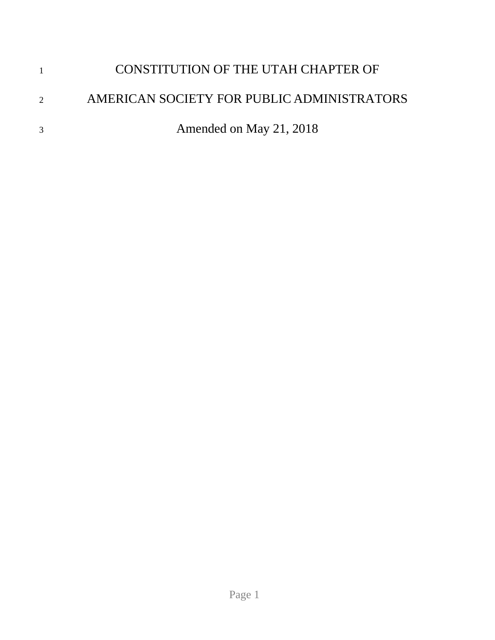|   | CONSTITUTION OF THE UTAH CHAPTER OF        |
|---|--------------------------------------------|
| 2 | AMERICAN SOCIETY FOR PUBLIC ADMINISTRATORS |
|   | Amended on May 21, 2018                    |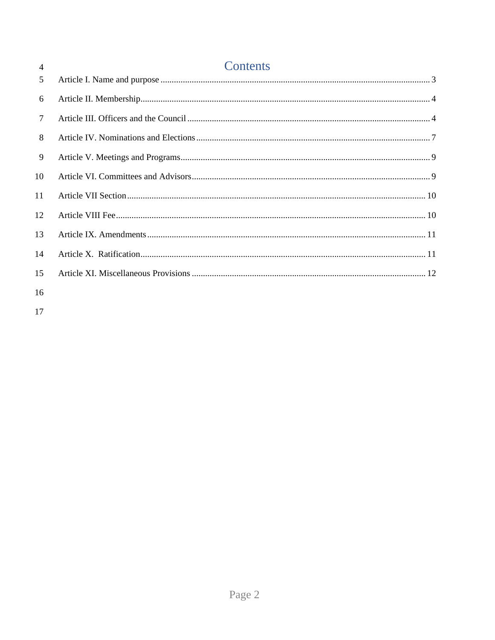| $\overline{4}$ | Contents |
|----------------|----------|
| 5              |          |
| 6              |          |
| $\tau$         |          |
| 8              |          |
| 9              |          |
| 10             |          |
| 11             |          |
| 12             |          |
| 13             |          |
| 14             |          |
| 15             |          |
| 16             |          |
|                |          |

 $17$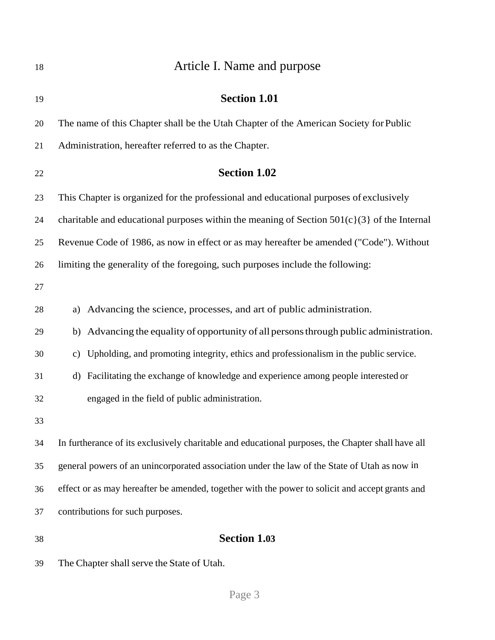<span id="page-2-0"></span>

| 18 | Article I. Name and purpose                                                                            |
|----|--------------------------------------------------------------------------------------------------------|
| 19 | <b>Section 1.01</b>                                                                                    |
| 20 | The name of this Chapter shall be the Utah Chapter of the American Society for Public                  |
| 21 | Administration, hereafter referred to as the Chapter.                                                  |
| 22 | <b>Section 1.02</b>                                                                                    |
| 23 | This Chapter is organized for the professional and educational purposes of exclusively                 |
| 24 | charitable and educational purposes within the meaning of Section $501(c)(3)$ of the Internal          |
| 25 | Revenue Code of 1986, as now in effect or as may hereafter be amended ("Code"). Without                |
| 26 | limiting the generality of the foregoing, such purposes include the following:                         |
| 27 |                                                                                                        |
| 28 | Advancing the science, processes, and art of public administration.<br>a)                              |
| 29 | Advancing the equality of opportunity of all persons through public administration.<br>b)              |
| 30 | Upholding, and promoting integrity, ethics and professionalism in the public service.<br>$\mathbf{c})$ |
| 31 | Facilitating the exchange of knowledge and experience among people interested or<br>$\rm d)$           |
| 32 | engaged in the field of public administration.                                                         |
| 33 |                                                                                                        |
| 34 | In furtherance of its exclusively charitable and educational purposes, the Chapter shall have all      |
| 35 | general powers of an unincorporated association under the law of the State of Utah as now in           |
| 36 | effect or as may hereafter be amended, together with the power to solicit and accept grants and        |
| 37 | contributions for such purposes.                                                                       |
| 38 | <b>Section 1.03</b>                                                                                    |
| 39 | The Chapter shall serve the State of Utah.                                                             |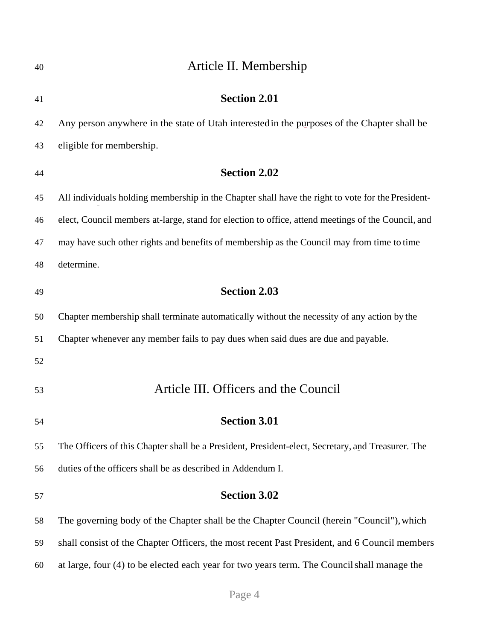<span id="page-3-1"></span><span id="page-3-0"></span>

| 40 | Article II. Membership                                                                             |
|----|----------------------------------------------------------------------------------------------------|
| 41 | <b>Section 2.01</b>                                                                                |
| 42 | Any person anywhere in the state of Utah interested in the purposes of the Chapter shall be        |
| 43 | eligible for membership.                                                                           |
| 44 | <b>Section 2.02</b>                                                                                |
| 45 | All individuals holding membership in the Chapter shall have the right to vote for the President-  |
| 46 | elect, Council members at-large, stand for election to office, attend meetings of the Council, and |
| 47 | may have such other rights and benefits of membership as the Council may from time to time         |
| 48 | determine.                                                                                         |
| 49 | <b>Section 2.03</b>                                                                                |
| 50 | Chapter membership shall terminate automatically without the necessity of any action by the        |
| 51 | Chapter whenever any member fails to pay dues when said dues are due and payable.                  |
| 52 |                                                                                                    |
| 53 | Article III. Officers and the Council                                                              |
| 54 | <b>Section 3.01</b>                                                                                |
| 55 | The Officers of this Chapter shall be a President, President-elect, Secretary, and Treasurer. The  |
| 56 | duties of the officers shall be as described in Addendum I.                                        |
| 57 | <b>Section 3.02</b>                                                                                |
| 58 | The governing body of the Chapter shall be the Chapter Council (herein "Council"), which           |
| 59 | shall consist of the Chapter Officers, the most recent Past President, and 6 Council members       |
| 60 | at large, four (4) to be elected each year for two years term. The Council shall manage the        |
|    |                                                                                                    |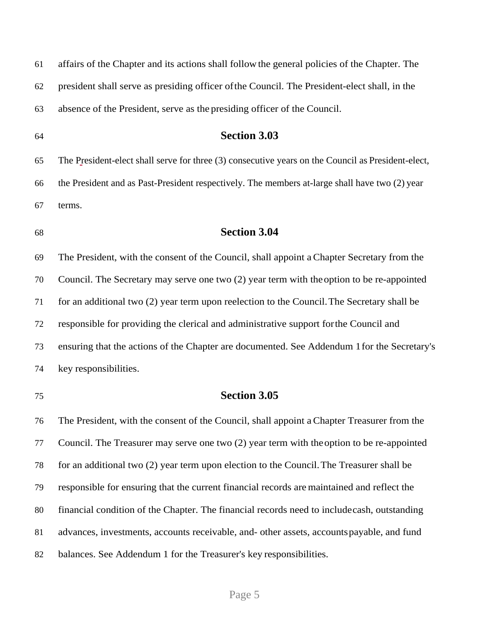| 61 | affairs of the Chapter and its actions shall follow the general policies of the Chapter. The       |
|----|----------------------------------------------------------------------------------------------------|
| 62 | president shall serve as presiding officer of the Council. The President-elect shall, in the       |
| 63 | absence of the President, serve as the presiding officer of the Council.                           |
| 64 | <b>Section 3.03</b>                                                                                |
| 65 | The President-elect shall serve for three (3) consecutive years on the Council as President-elect, |
| 66 | the President and as Past-President respectively. The members at-large shall have two (2) year     |
| 67 | terms.                                                                                             |
| 68 | <b>Section 3.04</b>                                                                                |
| 69 | The President, with the consent of the Council, shall appoint a Chapter Secretary from the         |
| 70 | Council. The Secretary may serve one two (2) year term with the option to be re-appointed          |
| 71 | for an additional two (2) year term upon reelection to the Council. The Secretary shall be         |
| 72 | responsible for providing the clerical and administrative support for the Council and              |
| 73 | ensuring that the actions of the Chapter are documented. See Addendum 1 for the Secretary's        |
| 74 | key responsibilities.                                                                              |
| 75 | <b>Section 3.05</b>                                                                                |
| 76 | The President, with the consent of the Council, shall appoint a Chapter Treasurer from the         |
| 77 | Council. The Treasurer may serve one two (2) year term with the option to be re-appointed          |
| 78 | for an additional two (2) year term upon election to the Council. The Treasurer shall be           |
| 79 | responsible for ensuring that the current financial records are maintained and reflect the         |
| 80 | financial condition of the Chapter. The financial records need to include cash, outstanding        |
| 81 | advances, investments, accounts receivable, and- other assets, accounts payable, and fund          |
| 82 | balances. See Addendum 1 for the Treasurer's key responsibilities.                                 |

# Page 5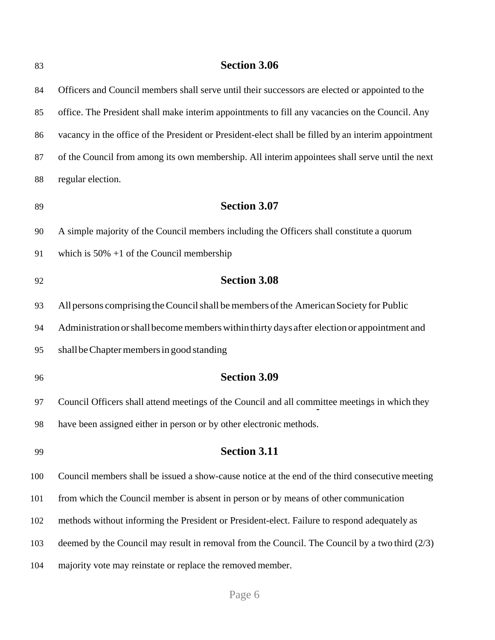| 83  | <b>Section 3.06</b>                                                                                 |
|-----|-----------------------------------------------------------------------------------------------------|
| 84  | Officers and Council members shall serve until their successors are elected or appointed to the     |
| 85  | office. The President shall make interim appointments to fill any vacancies on the Council. Any     |
| 86  | vacancy in the office of the President or President-elect shall be filled by an interim appointment |
| 87  | of the Council from among its own membership. All interim appointees shall serve until the next     |
| 88  | regular election.                                                                                   |
| 89  | <b>Section 3.07</b>                                                                                 |
| 90  | A simple majority of the Council members including the Officers shall constitute a quorum           |
| 91  | which is $50\% + 1$ of the Council membership                                                       |
| 92  | <b>Section 3.08</b>                                                                                 |
| 93  | All persons comprising the Council shall be members of the American Society for Public              |
| 94  | Administration or shall become members within thirty days after election or appointment and         |
| 95  | shall be Chapter members in good standing                                                           |
| 96  | <b>Section 3.09</b>                                                                                 |
| 97  | Council Officers shall attend meetings of the Council and all committee meetings in which they      |
| 98  | have been assigned either in person or by other electronic methods.                                 |
| 99  | <b>Section 3.11</b>                                                                                 |
| 100 | Council members shall be issued a show-cause notice at the end of the third consecutive meeting     |
| 101 | from which the Council member is absent in person or by means of other communication                |
| 102 | methods without informing the President or President-elect. Failure to respond adequately as        |
| 103 | deemed by the Council may result in removal from the Council. The Council by a two third $(2/3)$    |
| 104 | majority vote may reinstate or replace the removed member.                                          |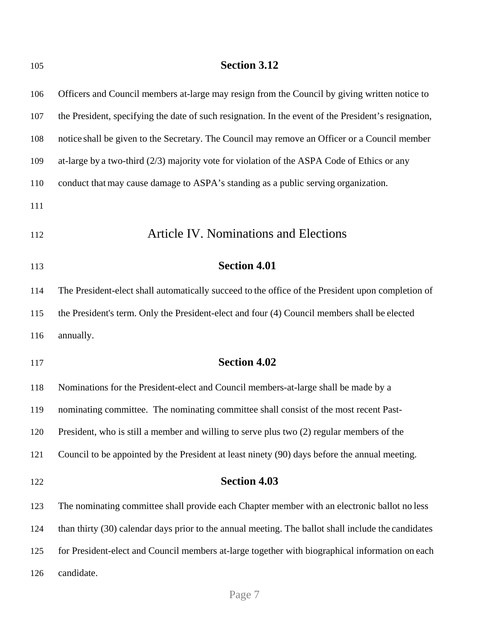<span id="page-6-0"></span>

| 105 | <b>Section 3.12</b>                                                                                  |
|-----|------------------------------------------------------------------------------------------------------|
| 106 | Officers and Council members at-large may resign from the Council by giving written notice to        |
| 107 | the President, specifying the date of such resignation. In the event of the President's resignation, |
| 108 | notice shall be given to the Secretary. The Council may remove an Officer or a Council member        |
| 109 | at-large by a two-third $(2/3)$ majority vote for violation of the ASPA Code of Ethics or any        |
| 110 | conduct that may cause damage to ASPA's standing as a public serving organization.                   |
| 111 |                                                                                                      |
| 112 | <b>Article IV. Nominations and Elections</b>                                                         |
| 113 | <b>Section 4.01</b>                                                                                  |
| 114 | The President-elect shall automatically succeed to the office of the President upon completion of    |
| 115 | the President's term. Only the President-elect and four (4) Council members shall be elected         |
| 116 | annually.                                                                                            |
| 117 | <b>Section 4.02</b>                                                                                  |
| 118 | Nominations for the President-elect and Council members-at-large shall be made by a                  |
| 119 | nominating committee. The nominating committee shall consist of the most recent Past-                |
| 120 | President, who is still a member and willing to serve plus two (2) regular members of the            |
| 121 | Council to be appointed by the President at least ninety (90) days before the annual meeting.        |
| 122 | <b>Section 4.03</b>                                                                                  |
| 123 | The nominating committee shall provide each Chapter member with an electronic ballot no less         |
| 124 | than thirty (30) calendar days prior to the annual meeting. The ballot shall include the candidates  |
| 125 | for President-elect and Council members at-large together with biographical information on each      |
| 126 | candidate.                                                                                           |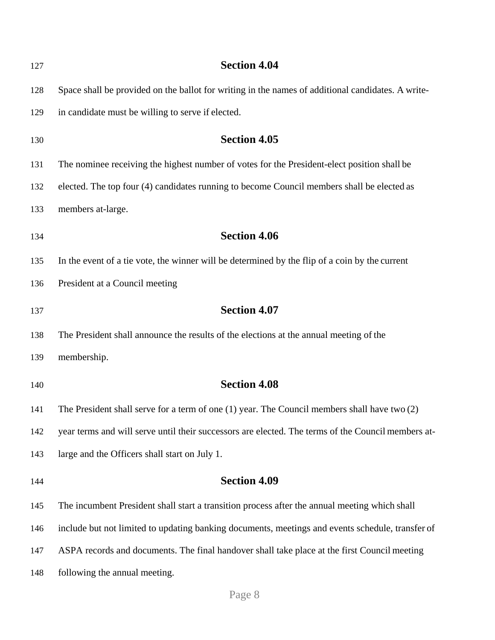| 127 | <b>Section 4.04</b>                                                                                |
|-----|----------------------------------------------------------------------------------------------------|
| 128 | Space shall be provided on the ballot for writing in the names of additional candidates. A write-  |
| 129 | in candidate must be willing to serve if elected.                                                  |
| 130 | <b>Section 4.05</b>                                                                                |
| 131 | The nominee receiving the highest number of votes for the President-elect position shall be        |
| 132 | elected. The top four (4) candidates running to become Council members shall be elected as         |
| 133 | members at-large.                                                                                  |
| 134 | <b>Section 4.06</b>                                                                                |
| 135 | In the event of a tie vote, the winner will be determined by the flip of a coin by the current     |
| 136 | President at a Council meeting                                                                     |
| 137 | <b>Section 4.07</b>                                                                                |
| 138 | The President shall announce the results of the elections at the annual meeting of the             |
| 139 | membership.                                                                                        |
| 140 | <b>Section 4.08</b>                                                                                |
| 141 | The President shall serve for a term of one $(1)$ year. The Council members shall have two $(2)$   |
| 142 | year terms and will serve until their successors are elected. The terms of the Council members at- |
| 143 | large and the Officers shall start on July 1.                                                      |
| 144 | <b>Section 4.09</b>                                                                                |
| 145 | The incumbent President shall start a transition process after the annual meeting which shall      |
| 146 | include but not limited to updating banking documents, meetings and events schedule, transfer of   |
| 147 | ASPA records and documents. The final handover shall take place at the first Council meeting       |
| 148 | following the annual meeting.                                                                      |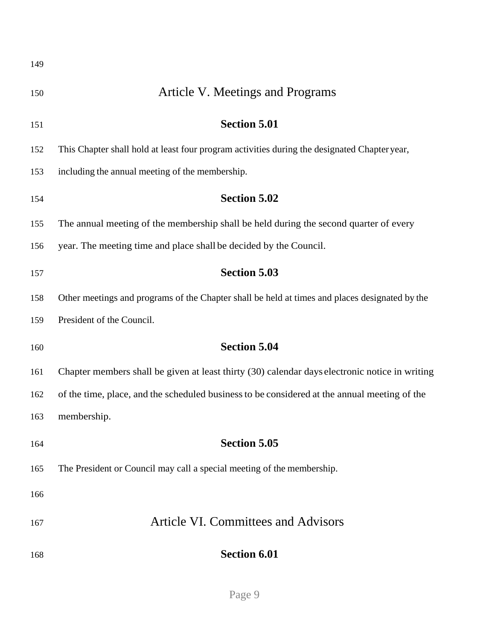<span id="page-8-1"></span><span id="page-8-0"></span>

| 149 |                                                                                                |
|-----|------------------------------------------------------------------------------------------------|
| 150 | Article V. Meetings and Programs                                                               |
| 151 | <b>Section 5.01</b>                                                                            |
| 152 | This Chapter shall hold at least four program activities during the designated Chapter year,   |
| 153 | including the annual meeting of the membership.                                                |
| 154 | <b>Section 5.02</b>                                                                            |
| 155 | The annual meeting of the membership shall be held during the second quarter of every          |
| 156 | year. The meeting time and place shall be decided by the Council.                              |
| 157 | <b>Section 5.03</b>                                                                            |
| 158 | Other meetings and programs of the Chapter shall be held at times and places designated by the |
| 159 | President of the Council.                                                                      |
| 160 | <b>Section 5.04</b>                                                                            |
| 161 | Chapter members shall be given at least thirty (30) calendar days electronic notice in writing |
| 162 | of the time, place, and the scheduled business to be considered at the annual meeting of the   |
| 163 | membership.                                                                                    |
| 164 | <b>Section 5.05</b>                                                                            |
| 165 | The President or Council may call a special meeting of the membership.                         |
| 166 |                                                                                                |
| 167 | <b>Article VI. Committees and Advisors</b>                                                     |
| 168 | <b>Section 6.01</b>                                                                            |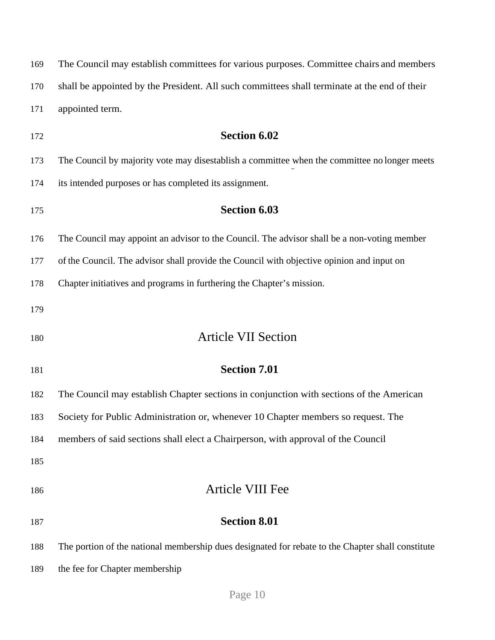<span id="page-9-1"></span><span id="page-9-0"></span>

|     | The Council may establish committees for various purposes. Committee chairs and members           |
|-----|---------------------------------------------------------------------------------------------------|
| 170 | shall be appointed by the President. All such committees shall terminate at the end of their      |
| 171 | appointed term.                                                                                   |
| 172 | <b>Section 6.02</b>                                                                               |
| 173 | The Council by majority vote may disestablish a committee when the committee no longer meets      |
| 174 | its intended purposes or has completed its assignment.                                            |
| 175 | <b>Section 6.03</b>                                                                               |
| 176 | The Council may appoint an advisor to the Council. The advisor shall be a non-voting member       |
| 177 | of the Council. The advisor shall provide the Council with objective opinion and input on         |
| 178 | Chapter initiatives and programs in furthering the Chapter's mission.                             |
| 179 |                                                                                                   |
|     |                                                                                                   |
| 180 | <b>Article VII Section</b>                                                                        |
| 181 | <b>Section 7.01</b>                                                                               |
| 182 | The Council may establish Chapter sections in conjunction with sections of the American           |
| 183 | Society for Public Administration or, whenever 10 Chapter members so request. The                 |
| 184 | members of said sections shall elect a Chairperson, with approval of the Council                  |
| 185 |                                                                                                   |
| 186 | Article VIII Fee                                                                                  |
| 187 | <b>Section 8.01</b>                                                                               |
| 188 | The portion of the national membership dues designated for rebate to the Chapter shall constitute |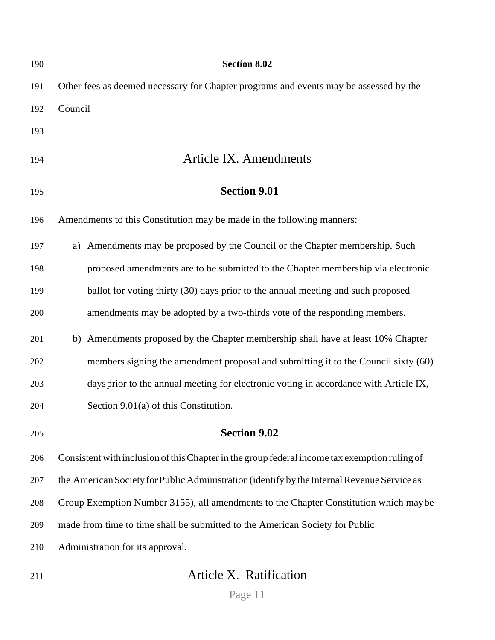<span id="page-10-0"></span>

| 190 | <b>Section 8.02</b>                                                                           |
|-----|-----------------------------------------------------------------------------------------------|
| 191 | Other fees as deemed necessary for Chapter programs and events may be assessed by the         |
| 192 | Council                                                                                       |
| 193 |                                                                                               |
| 194 | <b>Article IX. Amendments</b>                                                                 |
| 195 | <b>Section 9.01</b>                                                                           |
| 196 | Amendments to this Constitution may be made in the following manners:                         |
| 197 | a) Amendments may be proposed by the Council or the Chapter membership. Such                  |
| 198 | proposed amendments are to be submitted to the Chapter membership via electronic              |
| 199 | ballot for voting thirty (30) days prior to the annual meeting and such proposed              |
| 200 | amendments may be adopted by a two-thirds vote of the responding members.                     |
| 201 | b) Amendments proposed by the Chapter membership shall have at least 10% Chapter              |
| 202 | members signing the amendment proposal and submitting it to the Council sixty (60)            |
| 203 | days prior to the annual meeting for electronic voting in accordance with Article IX,         |
| 204 | Section 9.01(a) of this Constitution.                                                         |
| 205 | <b>Section 9.02</b>                                                                           |
| 206 | Consistent with inclusion of this Chapter in the group federal income tax exemption ruling of |
| 207 | the American Society for Public Administration (identify by the Internal Revenue Service as   |
| 208 | Group Exemption Number 3155), all amendments to the Chapter Constitution which may be         |
| 209 | made from time to time shall be submitted to the American Society for Public                  |
| 210 | Administration for its approval.                                                              |
| 211 | Article X. Ratification                                                                       |

<span id="page-10-1"></span>Page 11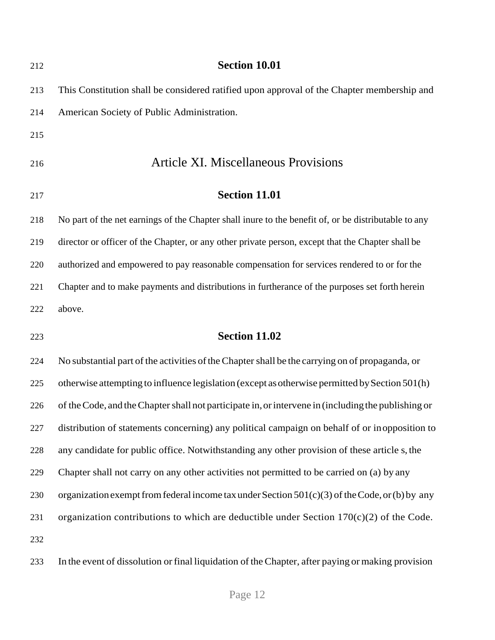<span id="page-11-0"></span>

| 212 | <b>Section 10.01</b>                                                                                 |
|-----|------------------------------------------------------------------------------------------------------|
| 213 | This Constitution shall be considered ratified upon approval of the Chapter membership and           |
| 214 | American Society of Public Administration.                                                           |
| 215 |                                                                                                      |
| 216 | <b>Article XI. Miscellaneous Provisions</b>                                                          |
| 217 | <b>Section 11.01</b>                                                                                 |
| 218 | No part of the net earnings of the Chapter shall inure to the benefit of, or be distributable to any |
| 219 | director or officer of the Chapter, or any other private person, except that the Chapter shall be    |
| 220 | authorized and empowered to pay reasonable compensation for services rendered to or for the          |
| 221 | Chapter and to make payments and distributions in furtherance of the purposes set forth herein       |
| 222 | above.                                                                                               |
| 223 | <b>Section 11.02</b>                                                                                 |
| 224 | No substantial part of the activities of the Chapter shall be the carrying on of propaganda, or      |
| 225 | otherwise attempting to influence legislation (except as otherwise permitted by Section 501(h)       |
| 226 | of the Code, and the Chapter shall not participate in, or intervene in (including the publishing or  |
| 227 | distribution of statements concerning) any political campaign on behalf of or inopposition to        |
| 228 | any candidate for public office. Notwithstanding any other provision of these article s, the         |
| 229 | Chapter shall not carry on any other activities not permitted to be carried on (a) by any            |
| 230 | organization exempt from federal income tax under Section $501(c)(3)$ of the Code, or (b) by any     |
| 231 | organization contributions to which are deductible under Section $170(c)(2)$ of the Code.            |
| 232 |                                                                                                      |
| 233 | In the event of dissolution or final liquidation of the Chapter, after paying or making provision    |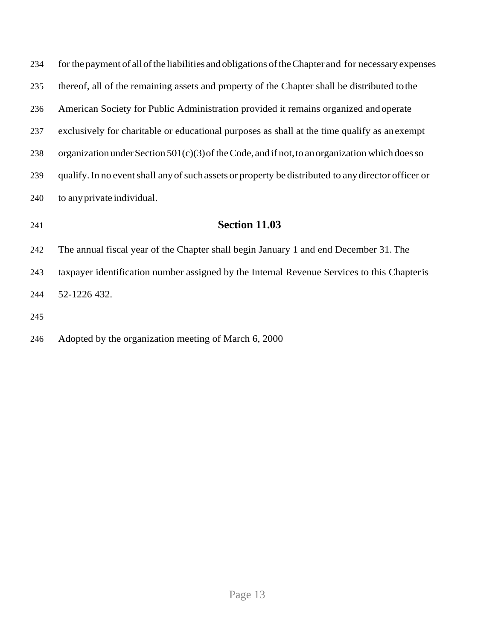| 234 | for the payment of all of the liabilities and obligations of the Chapter and for necessary expenses |
|-----|-----------------------------------------------------------------------------------------------------|
| 235 | thereof, all of the remaining assets and property of the Chapter shall be distributed to the        |
| 236 | American Society for Public Administration provided it remains organized and operate                |
| 237 | exclusively for charitable or educational purposes as shall at the time qualify as an exempt        |
| 238 | organization under Section $501(c)(3)$ of the Code, and if not, to an organization which does so    |
| 239 | qualify. In no event shall any of such assets or property be distributed to any director officer or |
| 240 | to any private individual.                                                                          |
| 241 | <b>Section 11.03</b>                                                                                |
| 242 | The annual fiscal year of the Chapter shall begin January 1 and end December 31. The                |
| 243 | taxpayer identification number assigned by the Internal Revenue Services to this Chapter is         |
| 244 | 52-1226 432.                                                                                        |
| 245 |                                                                                                     |
|     |                                                                                                     |

Adopted by the organization meeting of March 6, 2000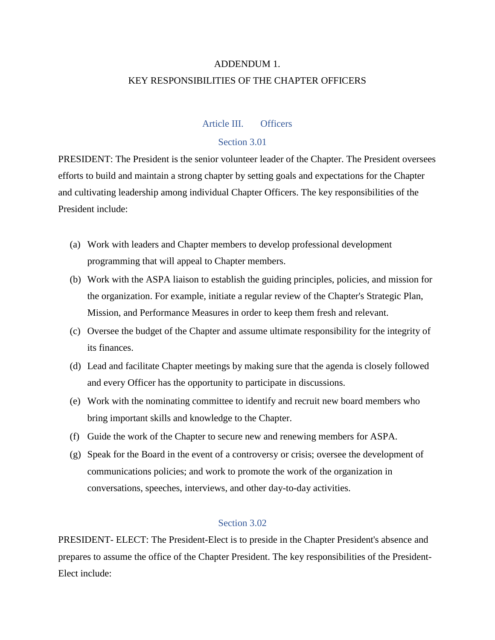# ADDENDUM 1. KEY RESPONSIBILITIES OF THE CHAPTER OFFICERS

#### Article III. Officers

### Section 3.01

PRESIDENT: The President is the senior volunteer leader of the Chapter. The President oversees efforts to build and maintain a strong chapter by setting goals and expectations for the Chapter and cultivating leadership among individual Chapter Officers. The key responsibilities of the President include:

- (a) Work with leaders and Chapter members to develop professional development programming that will appeal to Chapter members.
- (b) Work with the ASPA liaison to establish the guiding principles, policies, and mission for the organization. For example, initiate a regular review of the Chapter's Strategic Plan, Mission, and Performance Measures in order to keep them fresh and relevant.
- (c) Oversee the budget of the Chapter and assume ultimate responsibility for the integrity of its finances.
- (d) Lead and facilitate Chapter meetings by making sure that the agenda is closely followed and every Officer has the opportunity to participate in discussions.
- (e) Work with the nominating committee to identify and recruit new board members who bring important skills and knowledge to the Chapter.
- (f) Guide the work of the Chapter to secure new and renewing members for ASPA.
- (g) Speak for the Board in the event of a controversy or crisis; oversee the development of communications policies; and work to promote the work of the organization in conversations, speeches, interviews, and other day-to-day activities.

#### Section 3.02

PRESIDENT- ELECT: The President-Elect is to preside in the Chapter President's absence and prepares to assume the office of the Chapter President. The key responsibilities of the President-Elect include: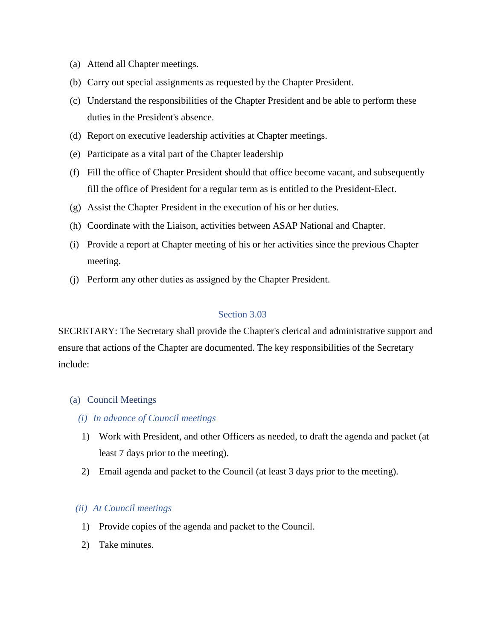- (a) Attend all Chapter meetings.
- (b) Carry out special assignments as requested by the Chapter President.
- (c) Understand the responsibilities of the Chapter President and be able to perform these duties in the President's absence.
- (d) Report on executive leadership activities at Chapter meetings.
- (e) Participate as a vital part of the Chapter leadership
- (f) Fill the office of Chapter President should that office become vacant, and subsequently fill the office of President for a regular term as is entitled to the President-Elect.
- (g) Assist the Chapter President in the execution of his or her duties.
- (h) Coordinate with the Liaison, activities between ASAP National and Chapter.
- (i) Provide a report at Chapter meeting of his or her activities since the previous Chapter meeting.
- (j) Perform any other duties as assigned by the Chapter President.

#### Section 3.03

SECRETARY: The Secretary shall provide the Chapter's clerical and administrative support and ensure that actions of the Chapter are documented. The key responsibilities of the Secretary include:

#### (a) Council Meetings

- *(i) In advance of Council meetings*
- 1) Work with President, and other Officers as needed, to draft the agenda and packet (at least 7 days prior to the meeting).
- 2) Email agenda and packet to the Council (at least 3 days prior to the meeting).

#### *(ii) At Council meetings*

- 1) Provide copies of the agenda and packet to the Council.
- 2) Take minutes.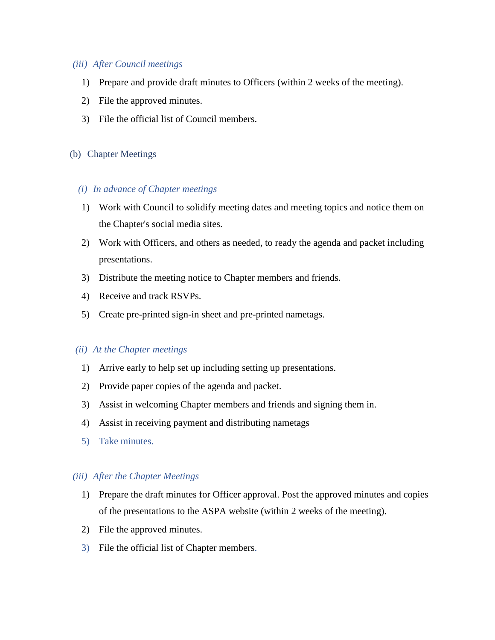#### *(iii) After Council meetings*

- 1) Prepare and provide draft minutes to Officers (within 2 weeks of the meeting).
- 2) File the approved minutes.
- 3) File the official list of Council members.

#### (b) Chapter Meetings

#### *(i) In advance of Chapter meetings*

- 1) Work with Council to solidify meeting dates and meeting topics and notice them on the Chapter's social media sites.
- 2) Work with Officers, and others as needed, to ready the agenda and packet including presentations.
- 3) Distribute the meeting notice to Chapter members and friends.
- 4) Receive and track RSVPs.
- 5) Create pre-printed sign-in sheet and pre-printed nametags.

#### *(ii) At the Chapter meetings*

- 1) Arrive early to help set up including setting up presentations.
- 2) Provide paper copies of the agenda and packet.
- 3) Assist in welcoming Chapter members and friends and signing them in.
- 4) Assist in receiving payment and distributing nametags
- 5) Take minutes.

#### *(iii) After the Chapter Meetings*

- 1) Prepare the draft minutes for Officer approval. Post the approved minutes and copies of the presentations to the ASPA website (within 2 weeks of the meeting).
- 2) File the approved minutes.
- 3) File the official list of Chapter members.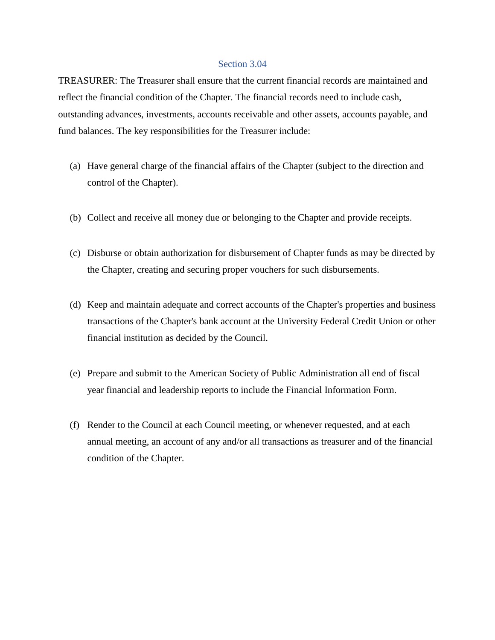#### Section 3.04

TREASURER: The Treasurer shall ensure that the current financial records are maintained and reflect the financial condition of the Chapter. The financial records need to include cash, outstanding advances, investments, accounts receivable and other assets, accounts payable, and fund balances. The key responsibilities for the Treasurer include:

- (a) Have general charge of the financial affairs of the Chapter (subject to the direction and control of the Chapter).
- (b) Collect and receive all money due or belonging to the Chapter and provide receipts.
- (c) Disburse or obtain authorization for disbursement of Chapter funds as may be directed by the Chapter, creating and securing proper vouchers for such disbursements.
- (d) Keep and maintain adequate and correct accounts of the Chapter's properties and business transactions of the Chapter's bank account at the University Federal Credit Union or other financial institution as decided by the Council.
- (e) Prepare and submit to the American Society of Public Administration all end of fiscal year financial and leadership reports to include the Financial Information Form.
- (f) Render to the Council at each Council meeting, or whenever requested, and at each annual meeting, an account of any and/or all transactions as treasurer and of the financial condition of the Chapter.